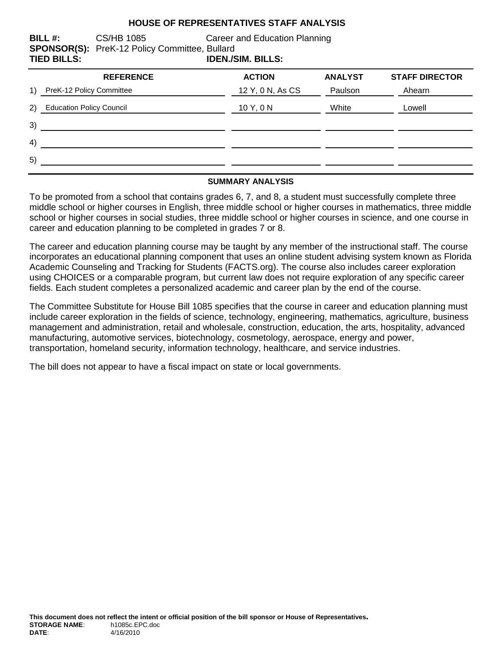#### **HOUSE OF REPRESENTATIVES STAFF ANALYSIS**

**BILL #:** CS/HB 1085 Career and Education Planning **SPONSOR(S):** PreK-12 Policy Committee, Bullard **TIED BILLS: IDEN./SIM. BILLS:**

|     | <b>REFERENCE</b>                | <b>ACTION</b>    | <b>ANALYST</b> | <b>STAFF DIRECTOR</b> |
|-----|---------------------------------|------------------|----------------|-----------------------|
| 1)  | PreK-12 Policy Committee        | 12 Y, 0 N, As CS | Paulson        | Ahearn                |
| (2) | <b>Education Policy Council</b> | 10 Y, 0 N        | White          | Lowell                |
| 3)  |                                 |                  |                |                       |
| 4)  |                                 |                  |                |                       |
| 5)  |                                 |                  |                |                       |
|     |                                 |                  |                |                       |

#### **SUMMARY ANALYSIS**

To be promoted from a school that contains grades 6, 7, and 8, a student must successfully complete three middle school or higher courses in English, three middle school or higher courses in mathematics, three middle school or higher courses in social studies, three middle school or higher courses in science, and one course in career and education planning to be completed in grades 7 or 8.

The career and education planning course may be taught by any member of the instructional staff. The course incorporates an educational planning component that uses an online student advising system known as Florida Academic Counseling and Tracking for Students (FACTS.org). The course also includes career exploration using CHOICES or a comparable program, but current law does not require exploration of any specific career fields. Each student completes a personalized academic and career plan by the end of the course.

The Committee Substitute for House Bill 1085 specifies that the course in career and education planning must include career exploration in the fields of science, technology, engineering, mathematics, agriculture, business management and administration, retail and wholesale, construction, education, the arts, hospitality, advanced manufacturing, automotive services, biotechnology, cosmetology, aerospace, energy and power, transportation, homeland security, information technology, healthcare, and service industries.

The bill does not appear to have a fiscal impact on state or local governments.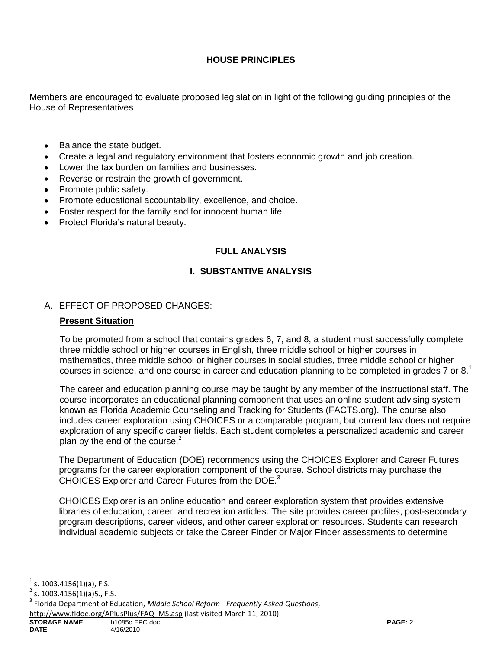# **HOUSE PRINCIPLES**

Members are encouraged to evaluate proposed legislation in light of the following guiding principles of the House of Representatives

- Balance the state budget.  $\bullet$
- Create a legal and regulatory environment that fosters economic growth and job creation.
- Lower the tax burden on families and businesses.
- Reverse or restrain the growth of government.
- Promote public safety.
- Promote educational accountability, excellence, and choice.
- Foster respect for the family and for innocent human life.
- Protect Florida's natural beauty.

### **FULL ANALYSIS**

## **I. SUBSTANTIVE ANALYSIS**

#### A. EFFECT OF PROPOSED CHANGES:

#### **Present Situation**

To be promoted from a school that contains grades 6, 7, and 8, a student must successfully complete three middle school or higher courses in English, three middle school or higher courses in mathematics, three middle school or higher courses in social studies, three middle school or higher courses in science, and one course in career and education planning to be completed in grades 7 or 8.<sup>1</sup>

The career and education planning course may be taught by any member of the instructional staff. The course incorporates an educational planning component that uses an online student advising system known as Florida Academic Counseling and Tracking for Students (FACTS.org). The course also includes career exploration using CHOICES or a comparable program, but current law does not require exploration of any specific career fields. Each student completes a personalized academic and career plan by the end of the course. $2$ 

The Department of Education (DOE) recommends using the CHOICES Explorer and Career Futures programs for the career exploration component of the course. School districts may purchase the CHOICES Explorer and Career Futures from the DOE.<sup>3</sup>

CHOICES Explorer is an online education and career exploration system that provides extensive libraries of education, career, and recreation articles. The site provides career profiles, post-secondary program descriptions, career videos, and other career exploration resources. Students can research individual academic subjects or take the Career Finder or Major Finder assessments to determine

[http://www.fldoe.org/APlusPlus/FAQ\\_MS.asp](http://www.fldoe.org/APlusPlus/FAQ_MS.asp) (last visited March 11, 2010).

 $^1$  s. 1003.4156(1)(a), F.S.

<sup>2</sup> s. 1003.4156(1)(a)5., F.S.

<sup>3</sup> Florida Department of Education, *Middle School Reform - Frequently Asked Questions*,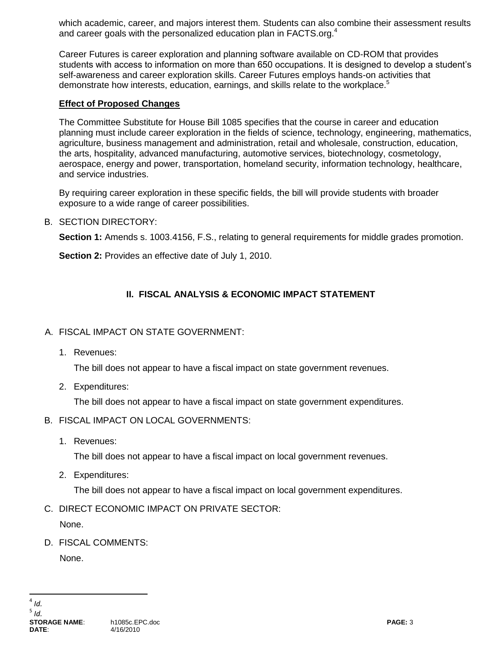which academic, career, and majors interest them. Students can also combine their assessment results and career goals with the personalized education plan in FACTS.org.<sup>4</sup>

Career Futures is career exploration and planning software available on CD-ROM that provides students with access to information on more than 650 occupations. It is designed to develop a student's self-awareness and career exploration skills. Career Futures employs hands-on activities that demonstrate how interests, education, earnings, and skills relate to the workplace.<sup>5</sup>

### **Effect of Proposed Changes**

The Committee Substitute for House Bill 1085 specifies that the course in career and education planning must include career exploration in the fields of science, technology, engineering, mathematics, agriculture, business management and administration, retail and wholesale, construction, education, the arts, hospitality, advanced manufacturing, automotive services, biotechnology, cosmetology, aerospace, energy and power, transportation, homeland security, information technology, healthcare, and service industries.

By requiring career exploration in these specific fields, the bill will provide students with broader exposure to a wide range of career possibilities.

### B. SECTION DIRECTORY:

**Section 1:** Amends s. 1003.4156, F.S., relating to general requirements for middle grades promotion.

**Section 2:** Provides an effective date of July 1, 2010.

# **II. FISCAL ANALYSIS & ECONOMIC IMPACT STATEMENT**

# A. FISCAL IMPACT ON STATE GOVERNMENT:

1. Revenues:

The bill does not appear to have a fiscal impact on state government revenues.

2. Expenditures:

The bill does not appear to have a fiscal impact on state government expenditures.

- B. FISCAL IMPACT ON LOCAL GOVERNMENTS:
	- 1. Revenues:

The bill does not appear to have a fiscal impact on local government revenues.

2. Expenditures:

The bill does not appear to have a fiscal impact on local government expenditures.

C. DIRECT ECONOMIC IMPACT ON PRIVATE SECTOR:

None.

D. FISCAL COMMENTS:

None.